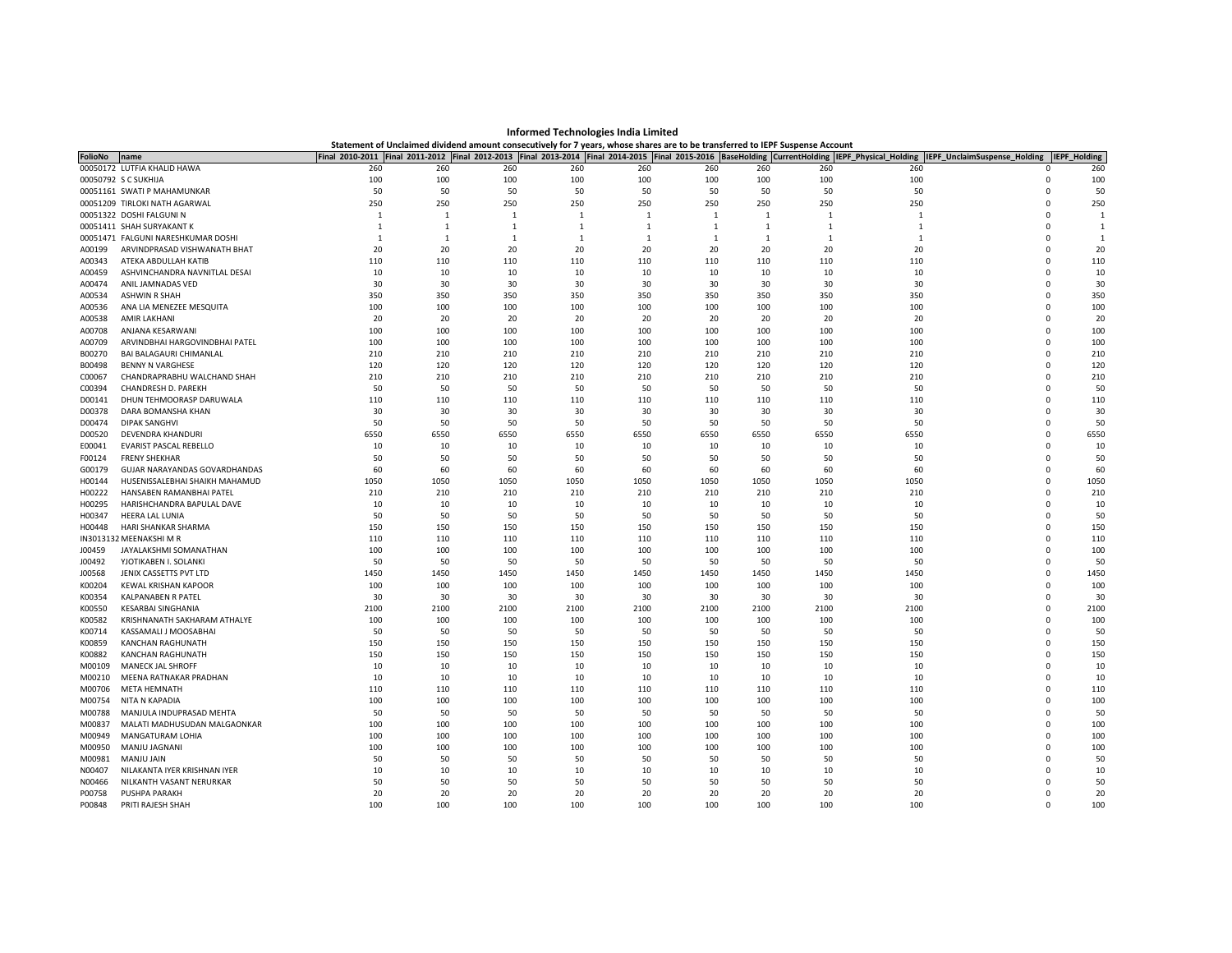| <b>FolioNo</b> | name                               | Final 2010-2011 |              |      |      |              |              |                |              | Final 2011-2012 Final 2012-2013 Final 2013-2014 Final 2014-2015 Final 2015-2016 BaseHolding CurrentHolding IEPF Physical Holding | IEPF_UnclaimSuspense_Holding | <b>IEPF Holding</b> |
|----------------|------------------------------------|-----------------|--------------|------|------|--------------|--------------|----------------|--------------|----------------------------------------------------------------------------------------------------------------------------------|------------------------------|---------------------|
|                | 00050172 LUTFIA KHALID HAWA        | 260             | 260          | 260  | 260  | 260          | 260          | 260            | 260          | 260                                                                                                                              | $\Omega$                     | 260                 |
|                | 00050792 S C SUKHIJA               | 100             | 100          | 100  | 100  | 100          | 100          | 100            | 100          | 100                                                                                                                              | $\Omega$                     | 100                 |
|                | 00051161 SWATI P MAHAMUNKAR        | 50              | 50           | 50   | 50   | 50           | 50           | 50             | 50           | 50                                                                                                                               | $\Omega$                     | 50                  |
|                | 00051209 TIRLOKI NATH AGARWAL      | 250             | 250          | 250  | 250  | 250          | 250          | 250            | 250          | 250                                                                                                                              | $\Omega$                     | 250                 |
|                | 00051322 DOSHI FALGUNI N           | 1               | 1            | 1    | 1    | $\mathbf{1}$ | $\mathbf{1}$ | $\mathbf{1}$   | $\mathbf{1}$ | $\mathbf{1}$                                                                                                                     | $\Omega$                     | $\overline{1}$      |
|                | 00051411 SHAH SURYAKANT K          | 1               | $\mathbf{1}$ | 1    | 1    | 1            | <sup>1</sup> | $\overline{1}$ | 1            | $\mathbf{1}$                                                                                                                     | $\Omega$                     | $\overline{1}$      |
|                | 00051471 FALGUNI NARESHKUMAR DOSHI | 1               | 1            | 1    | 1    | 1            | <sup>1</sup> | 1              | $\mathbf{1}$ | $\mathbf{1}$                                                                                                                     | <sup>n</sup>                 | $\overline{1}$      |
| A00199         | ARVINDPRASAD VISHWANATH BHAT       | 20              | 20           | 20   | 20   | 20           | 20           | 20             | 20           | 20                                                                                                                               | <sup>n</sup>                 | 20                  |
| A00343         | ATEKA ABDULLAH KATIB               | 110             | 110          | 110  | 110  | 110          | 110          | 110            | 110          | 110                                                                                                                              | $\Omega$                     | 110                 |
| A00459         | ASHVINCHANDRA NAVNITLAL DESAI      | 10              | 10           | 10   | 10   | 10           | 10           | 10             | 10           | 10                                                                                                                               |                              | 10                  |
| A00474         | ANIL JAMNADAS VED                  | 30              | 30           | 30   | 30   | 30           | 30           | 30             | 30           | 30                                                                                                                               | $\Omega$                     | 30                  |
| A00534         | <b>ASHWIN R SHAH</b>               | 350             | 350          | 350  | 350  | 350          | 350          | 350            | 350          | 350                                                                                                                              | $\Omega$                     | 350                 |
| A00536         | ANA LIA MENEZEE MESQUITA           | 100             | 100          | 100  | 100  | 100          | 100          | 100            | 100          | 100                                                                                                                              | $\Omega$                     | 100                 |
| A00538         | AMIR LAKHANI                       | 20              | 20           | 20   | 20   | 20           | 20           | 20             | 20           | 20                                                                                                                               | n                            | 20                  |
| A00708         | ANJANA KESARWANI                   | 100             | 100          | 100  | 100  | 100          | 100          | 100            | 100          | 100                                                                                                                              | $\Omega$                     | 100                 |
| A00709         | ARVINDBHAI HARGOVINDBHAI PATEL     | 100             | 100          | 100  | 100  | 100          | 100          | 100            | 100          | 100                                                                                                                              | $\Omega$                     | 100                 |
| B00270         | <b>BAI BALAGAURI CHIMANLAL</b>     | 210             | 210          | 210  | 210  | 210          | 210          | 210            | 210          | 210                                                                                                                              | $\Omega$                     | 210                 |
| B00498         | <b>BENNY N VARGHESE</b>            | 120             | 120          | 120  | 120  | 120          | 120          | 120            | 120          | 120                                                                                                                              | $\Omega$                     | 120                 |
| C00067         | CHANDRAPRABHU WALCHAND SHAH        | 210             | 210          | 210  | 210  | 210          | 210          | 210            | 210          | 210                                                                                                                              | $\Omega$                     | 210                 |
| C00394         | CHANDRESH D. PAREKH                | 50              | 50           | 50   | 50   | 50           | 50           | 50             | 50           | 50                                                                                                                               | $\Omega$                     | 50                  |
| D00141         | DHUN TEHMOORASP DARUWALA           | 110             | 110          | 110  | 110  | 110          | 110          | 110            | 110          | 110                                                                                                                              | $\Omega$                     | 110                 |
| D00378         | DARA BOMANSHA KHAN                 | 30              | 30           | 30   | 30   | 30           | 30           | 30             | 30           | 30                                                                                                                               | $\Omega$                     | 30                  |
| D00474         | <b>DIPAK SANGHVI</b>               | 50              | 50           | 50   | 50   | 50           | 50           | 50             | 50           | 50                                                                                                                               | $\Omega$                     | 50                  |
| D00520         | <b>DEVENDRA KHANDUR</b>            | 6550            | 6550         | 6550 | 6550 | 6550         | 6550         | 6550           | 6550         | 6550                                                                                                                             | $\Omega$                     | 6550                |
| E00041         | EVARIST PASCAL REBELLO             | 10              | 10           | 10   | 10   | 10           | 10           | 10             | 10           | 10                                                                                                                               | $\Omega$                     | 10                  |
| F00124         | <b>FRENY SHEKHAR</b>               | 50              | 50           | 50   | 50   | 50           | 50           | 50             | 50           | 50                                                                                                                               | $\Omega$                     | 50                  |
| G00179         | GUJAR NARAYANDAS GOVARDHANDAS      | 60              | 60           | 60   | 60   | 60           | 60           | 60             | 60           | 60                                                                                                                               | $\Omega$                     | 60                  |
| H00144         | HUSENISSALEBHAI SHAIKH MAHAMUD     | 1050            | 1050         | 1050 | 1050 | 1050         | 1050         | 1050           | 1050         | 1050                                                                                                                             | $\Omega$                     | 1050                |
| H00222         | HANSABEN RAMANBHAI PATEL           | 210             | 210          | 210  | 210  | 210          | 210          | 210            | 210          | 210                                                                                                                              | $\Omega$                     | 210                 |
| H00295         | HARISHCHANDRA BAPULAL DAVE         | 10              | 10           | 10   | 10   | 10           | 10           | 10             | 10           | 10                                                                                                                               | n                            | 10                  |
| H00347         | HEERA LAL LUNIA                    | 50              | 50           | 50   | 50   | 50           | 50           | 50             | 50           | 50                                                                                                                               | $\Omega$                     | 50                  |
| H00448         | HARI SHANKAR SHARMA                | 150             | 150          | 150  | 150  | 150          | 150          | 150            | 150          | 150                                                                                                                              | $\Omega$                     | 150                 |
|                | IN3013132 MEENAKSHI M R            | 110             | 110          | 110  | 110  | 110          | 110          | 110            | 110          | 110                                                                                                                              | $\Omega$                     | 110                 |
| J00459         | JAYALAKSHMI SOMANATHAN             | 100             | 100          | 100  | 100  | 100          | 100          | 100            | 100          | 100                                                                                                                              | $\Omega$                     | 100                 |
| J00492         | YJOTIKABEN I. SOLANKI              | 50              | 50           | 50   | 50   | 50           | 50           | 50             | 50           | 50                                                                                                                               | $\Omega$                     | 50                  |
| J00568         | JENIX CASSETTS PVT LTD             | 1450            | 1450         | 1450 | 1450 | 1450         | 1450         | 1450           | 1450         | 1450                                                                                                                             | $\Omega$                     | 1450                |
| K00204         | <b>KEWAL KRISHAN KAPOOR</b>        | 100             | 100          | 100  | 100  | 100          | 100          | 100            | 100          | 100                                                                                                                              | $\Omega$                     | 100                 |
| K00354         | KALPANABEN R PATEL                 | 30              | 30           | 30   | 30   | 30           | 30           | 30             | 30           | 30                                                                                                                               | $\Omega$                     | 30                  |
| K00550         | <b>KESARBAI SINGHANIA</b>          | 2100            | 2100         | 2100 | 2100 | 2100         | 2100         | 2100           | 2100         | 2100                                                                                                                             | $\Omega$                     | 2100                |
| K00582         | KRISHNANATH SAKHARAM ATHALYE       | 100             | 100          | 100  | 100  | 100          | 100          | 100            | 100          | 100                                                                                                                              | $\Omega$                     | 100                 |
| K00714         | KASSAMALI J MOOSABHAI              | 50              | 50           | 50   | 50   | 50           | 50           | 50             | 50           | 50                                                                                                                               | $\Omega$                     | 50                  |
| K00859         | KANCHAN RAGHUNATH                  | 150             | 150          | 150  | 150  | 150          | 150          | 150            | 150          | 150                                                                                                                              | $\Omega$                     | 150                 |
| K00882         | KANCHAN RAGHUNATH                  | 150             | 150          | 150  | 150  | 150          | 150          | 150            | 150          | 150                                                                                                                              | $\Omega$                     | 150                 |
| M00109         | MANECK JAL SHROFF                  | 10              | 10           | 10   | 10   | 10           | 10           | 10             | 10           | 10                                                                                                                               | $\Omega$                     | 10                  |
| M00210         | MEENA RATNAKAR PRADHAN             | 10              | 10           | 10   | 10   | 10           | 10           | 10             | 10           | 10                                                                                                                               | $\Omega$                     | 10                  |
| M00706         | <b>META HEMNATH</b>                | 110             | 110          | 110  | 110  | 110          | 110          | 110            | 110          | 110                                                                                                                              | $\Omega$                     | 110                 |
| M00754         | NITA N KAPADIA                     | 100             | 100          | 100  | 100  | 100          | 100          | 100            | 100          | 100                                                                                                                              | $\Omega$                     | 100                 |
| M00788         | MANJULA INDUPRASAD MEHTA           | 50              | 50           | 50   | 50   | 50           | 50           | 50             | 50           | 50                                                                                                                               | $\Omega$                     | 50                  |
| M00837         | MALATI MADHUSUDAN MALGAONKAR       | 100             | 100          | 100  | 100  | 100          | 100          | 100            | 100          | 100                                                                                                                              | $\Omega$                     | 100                 |
| M00949         | MANGATURAM LOHIA                   | 100             | 100          | 100  | 100  | 100          | 100          | 100            | 100          | 100                                                                                                                              | $\Omega$                     | 100                 |
| M00950         | MANJU JAGNANI                      | 100             | 100          | 100  | 100  | 100          | 100          | 100            | 100          | 100                                                                                                                              | $\Omega$                     | 100                 |
| M00981         | MANJU JAIN                         | 50              | 50           | 50   | 50   | 50           | 50           | 50             | 50           | 50                                                                                                                               | $\Omega$                     | 50                  |
| N00407         | NILAKANTA IYER KRISHNAN IYER       | 10              | 10           | 10   | 10   | 10           | 10           | 10             | 10           | 10                                                                                                                               |                              | 10                  |
| N00466         | NILKANTH VASANT NERURKAR           | 50              | 50           | 50   | 50   | 50           | 50           | 50             | 50           | 50                                                                                                                               |                              | 50                  |
| P00758         | PUSHPA PARAKH                      | 20              | 20           | 20   | 20   | 20           | 20           | 20             | 20           | 20                                                                                                                               | $\Omega$                     | 20                  |
| P00848         | PRITI RAJESH SHAH                  | 100             | 100          | 100  | 100  | 100          | 100          | 100            | 100          | 100                                                                                                                              | $\Omega$                     | 100                 |

Informed Technologies India Limited<br>Statement of Unclaimed dividend amount consecutively for 7 years, whose shares are to be transferred to IEPF Suspense Account